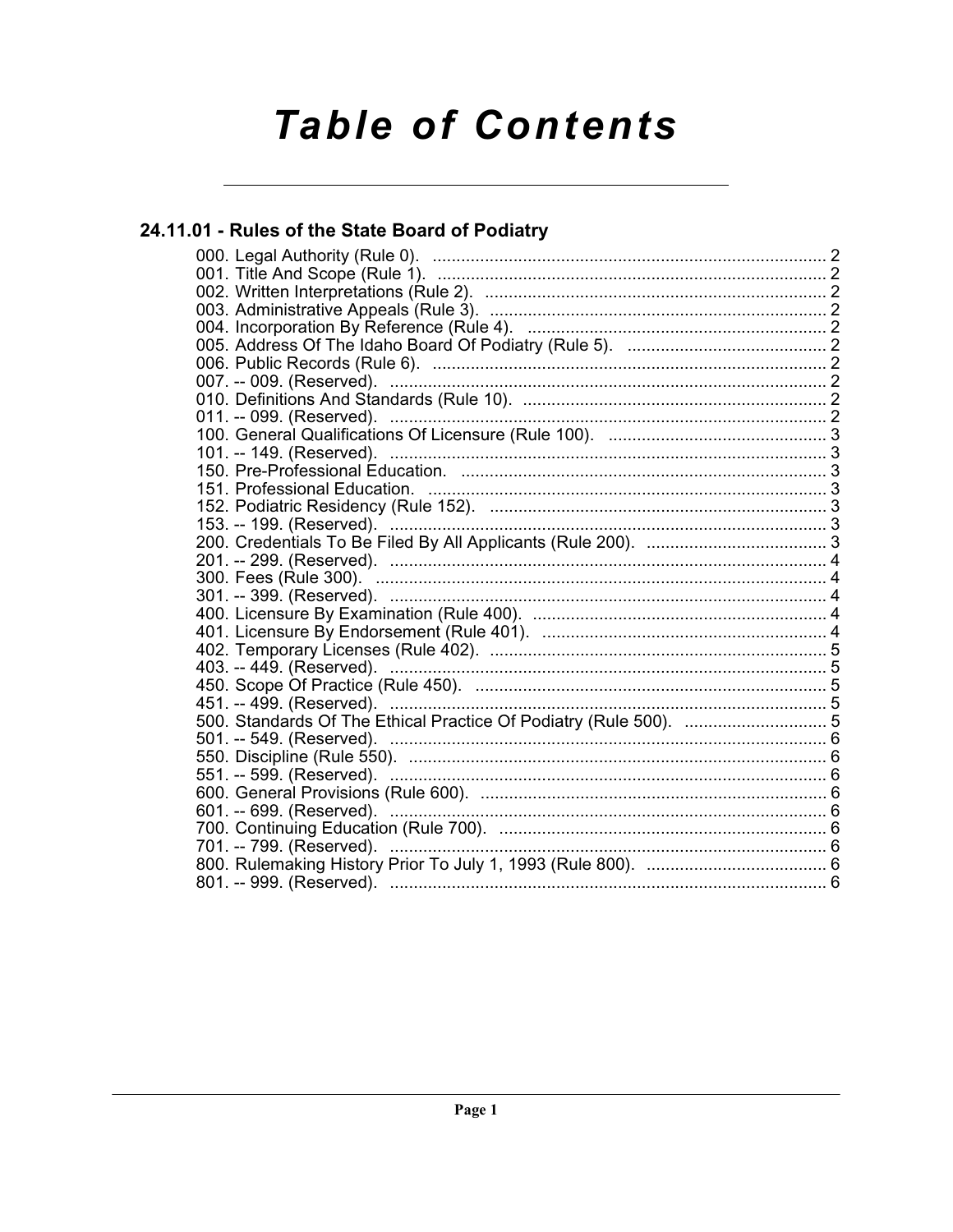# **Table of Contents**

# 24.11.01 - Rules of the State Board of Podiatry

| 403. -- 449. (Reserved).                                          |  |
|-------------------------------------------------------------------|--|
|                                                                   |  |
| 451. -- 499. (Reserved).                                          |  |
| 500. Standards Of The Ethical Practice Of Podiatry (Rule 500).  5 |  |
|                                                                   |  |
|                                                                   |  |
|                                                                   |  |
|                                                                   |  |
|                                                                   |  |
|                                                                   |  |
|                                                                   |  |
|                                                                   |  |
|                                                                   |  |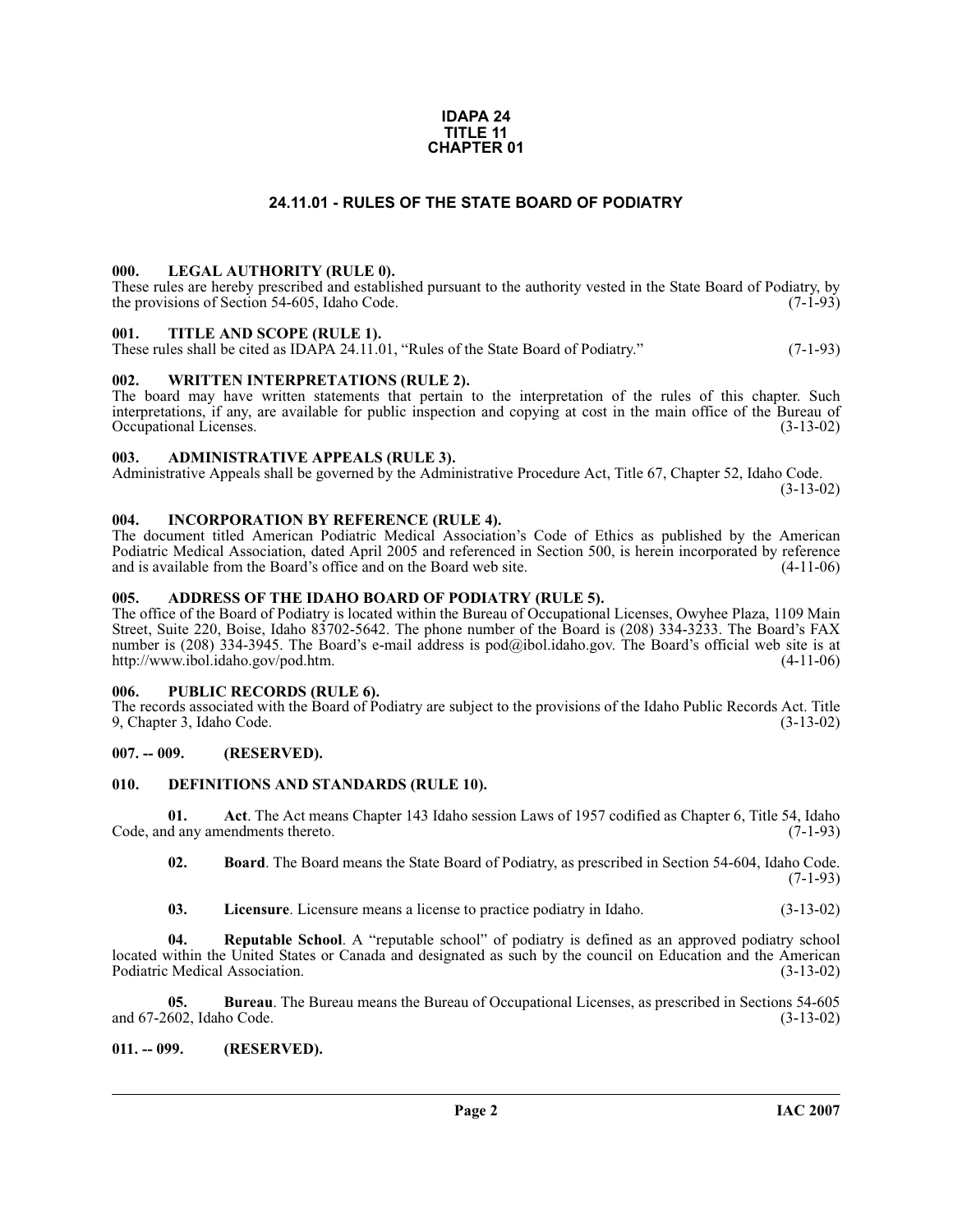#### **IDAPA 24 TITLE 11 CHAPTER 01**

# **24.11.01 - RULES OF THE STATE BOARD OF PODIATRY**

#### <span id="page-1-1"></span><span id="page-1-0"></span>**000. LEGAL AUTHORITY (RULE 0).**

These rules are hereby prescribed and established pursuant to the authority vested in the State Board of Podiatry, by the provisions of Section 54-605, Idaho Code. (7-1-93)

#### <span id="page-1-2"></span>**001. TITLE AND SCOPE (RULE 1).**

These rules shall be cited as IDAPA 24.11.01, "Rules of the State Board of Podiatry." (7-1-93)

#### <span id="page-1-3"></span>**002. WRITTEN INTERPRETATIONS (RULE 2).**

The board may have written statements that pertain to the interpretation of the rules of this chapter. Such interpretations, if any, are available for public inspection and copying at cost in the main office of the Bureau of Occupational Licenses. (3-13-02) Occupational Licenses.

#### <span id="page-1-4"></span>**003. ADMINISTRATIVE APPEALS (RULE 3).**

Administrative Appeals shall be governed by the Administrative Procedure Act, Title 67, Chapter 52, Idaho Code.

(3-13-02)

#### <span id="page-1-5"></span>**004. INCORPORATION BY REFERENCE (RULE 4).**

The document titled American Podiatric Medical Association's Code of Ethics as published by the American Podiatric Medical Association, dated April 2005 and referenced in Section 500, is herein incorporated by reference and is available from the Board's office and on the Board web site. (4-11-06) and is available from the Board's office and on the Board web site.

#### <span id="page-1-6"></span>**005. ADDRESS OF THE IDAHO BOARD OF PODIATRY (RULE 5).**

[The office of the Board of Podiatry is located within the Bureau of Occupational Licenses, Owyhee Plaza, 1109 Main](mailto:pod@ibol.idaho.gov) Street, Suite 220, Boise, Idaho 83702-5642. The phone number of the Board is (208) 334-3233. The Board's FAX number is (208) 334-3945. The Board's e-mail address is pod@ibol.idaho.gov. The Board's official web site is at http://www.ibol.idaho.gov/pod.htm. (4-11-06) http://www.ibol.idaho.gov/pod.htm.

### <span id="page-1-7"></span>**006. PUBLIC RECORDS (RULE 6).**

The records associated with the Board of Podiatry are subject to the provisions of the Idaho Public Records Act. Title 9, Chapter 3, Idaho Code. (3-13-02) 9, Chapter 3, Idaho Code.

### <span id="page-1-8"></span>**007. -- 009. (RESERVED).**

### <span id="page-1-12"></span><span id="page-1-9"></span>**010. DEFINITIONS AND STANDARDS (RULE 10).**

**01.** Act. The Act means Chapter 143 Idaho session Laws of 1957 codified as Chapter 6, Title 54, Idaho d any amendments thereto. (7-1-93) Code, and any amendments thereto.

<span id="page-1-11"></span>**02. Board**. The Board means the State Board of Podiatry, as prescribed in Section 54-604, Idaho Code. (7-1-93)

<span id="page-1-14"></span><span id="page-1-13"></span>**03. Licensure**. Licensure means a license to practice podiatry in Idaho. (3-13-02)

**04. Reputable School**. A "reputable school" of podiatry is defined as an approved podiatry school located within the United States or Canada and designated as such by the council on Education and the American Podiatric Medical Association. (3-13-02)

**05. Bureau**. The Bureau means the Bureau of Occupational Licenses, as prescribed in Sections 54-605 602, Idaho Code. (3-13-02) and 67-2602, Idaho Code.

#### <span id="page-1-10"></span>**011. -- 099. (RESERVED).**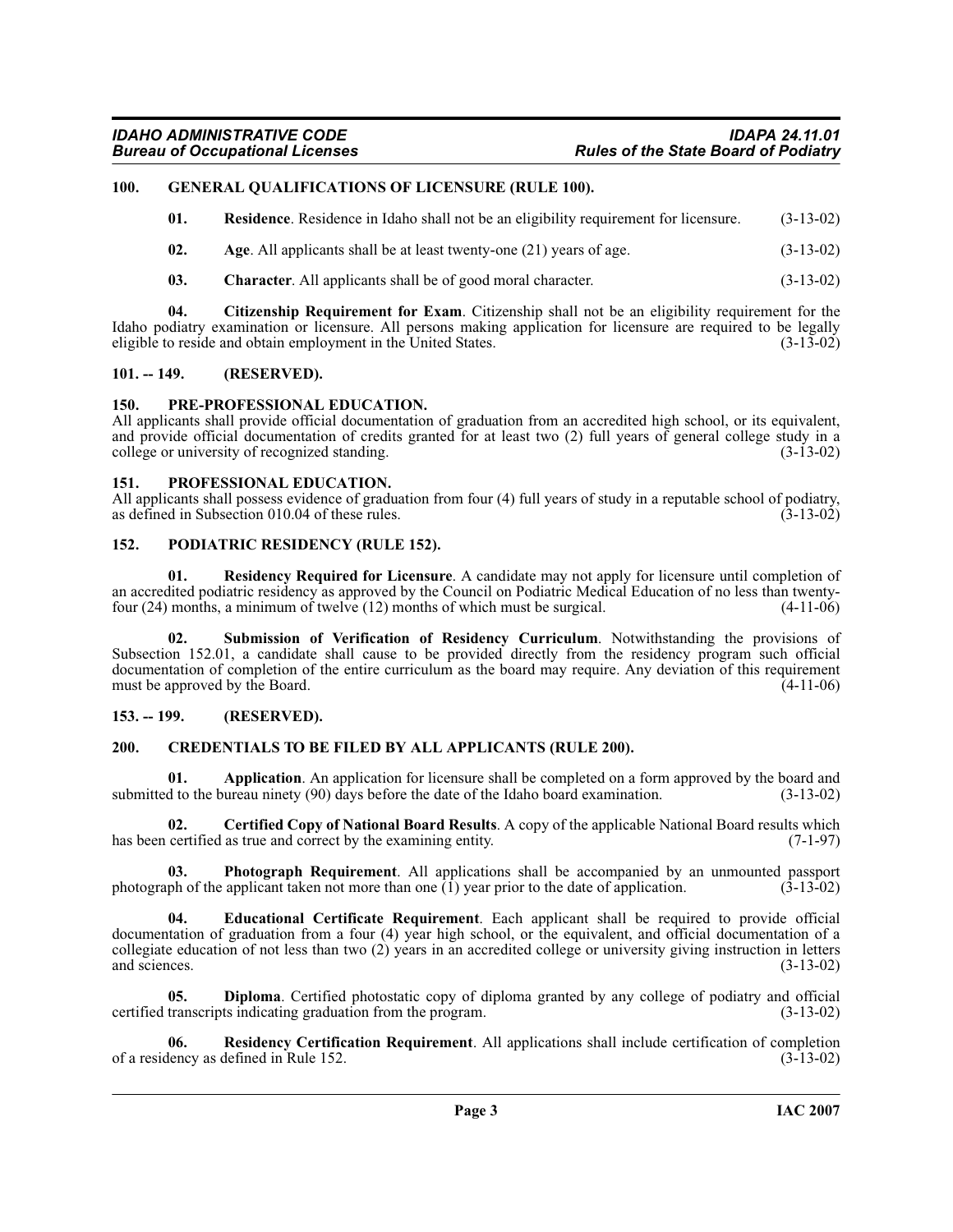# <span id="page-2-0"></span>**100. GENERAL QUALIFICATIONS OF LICENSURE (RULE 100).**

<span id="page-2-20"></span><span id="page-2-15"></span>

| Residence. Residence in Idaho shall not be an eligibility requirement for licensure.<br>01. | $(3-13-02)$ |
|---------------------------------------------------------------------------------------------|-------------|
|---------------------------------------------------------------------------------------------|-------------|

- <span id="page-2-7"></span>**02.** Age. All applicants shall be at least twenty-one (21) years of age.  $(3-13-02)$
- <span id="page-2-11"></span><span id="page-2-10"></span>**03. Character**. All applicants shall be of good moral character. (3-13-02)

**04. Citizenship Requirement for Exam**. Citizenship shall not be an eligibility requirement for the Idaho podiatry examination or licensure. All persons making application for licensure are required to be legally eligible to reside and obtain employment in the United States. (3-13-02) eligible to reside and obtain employment in the United States.

#### <span id="page-2-1"></span>**101. -- 149. (RESERVED).**

#### <span id="page-2-18"></span><span id="page-2-2"></span>**150. PRE-PROFESSIONAL EDUCATION.**

All applicants shall provide official documentation of graduation from an accredited high school, or its equivalent, and provide official documentation of credits granted for at least two (2) full years of general college study in a college or university of recognized standing. (3-13-02) college or university of recognized standing.

#### <span id="page-2-19"></span><span id="page-2-3"></span>**151. PROFESSIONAL EDUCATION.**

All applicants shall possess evidence of graduation from four (4) full years of study in a reputable school of podiatry, as defined in Subsection 010.04 of these rules. (3-13-02) as defined in Subsection 010.04 of these rules.

#### <span id="page-2-17"></span><span id="page-2-4"></span>**152. PODIATRIC RESIDENCY (RULE 152).**

<span id="page-2-22"></span>**01. Residency Required for Licensure**. A candidate may not apply for licensure until completion of an accredited podiatric residency as approved by the Council on Podiatric Medical Education of no less than twenty-<br>four  $(24)$  months, a minimum of twelve  $(12)$  months of which must be surgical.  $(4-11-06)$ four  $(24)$  months, a minimum of twelve  $(12)$  months of which must be surgical.

<span id="page-2-23"></span>**02. Submission of Verification of Residency Curriculum**. Notwithstanding the provisions of Subsection 152.01, a candidate shall cause to be provided directly from the residency program such official documentation of completion of the entire curriculum as the board may require. Any deviation of this requirement must be approved by the Board. (4-11-06) must be approved by the Board.

#### <span id="page-2-5"></span>**153. -- 199. (RESERVED).**

#### <span id="page-2-12"></span><span id="page-2-6"></span>**200. CREDENTIALS TO BE FILED BY ALL APPLICANTS (RULE 200).**

<span id="page-2-8"></span>**01. Application**. An application for licensure shall be completed on a form approved by the board and d to the bureau ninety (90) days before the date of the Idaho board examination. (3-13-02) submitted to the bureau ninety  $(90)$  days before the date of the Idaho board examination.

<span id="page-2-9"></span>**02. Certified Copy of National Board Results**. A copy of the applicable National Board results which has been certified as true and correct by the examining entity. (7-1-97)

<span id="page-2-16"></span>**03. Photograph Requirement**. All applications shall be accompanied by an unmounted passport of the application taken not more than one (1) year prior to the date of application. (3-13-02) photograph of the applicant taken not more than one  $\overline{1}$ ) year prior to the date of application.

<span id="page-2-14"></span>**04. Educational Certificate Requirement**. Each applicant shall be required to provide official documentation of graduation from a four (4) year high school, or the equivalent, and official documentation of a collegiate education of not less than two  $(2)$  years in an accredited college or university giving instruction in letters and sciences.  $(3-13-02)$ and sciences.  $(3-13-02)$ 

<span id="page-2-13"></span>**05. Diploma**. Certified photostatic copy of diploma granted by any college of podiatry and official transcripts indicating graduation from the program. (3-13-02) certified transcripts indicating graduation from the program.

<span id="page-2-21"></span>**Residency Certification Requirement**. All applications shall include certification of completion defined in Rule 152. (3-13-02) of a residency as defined in Rule 152.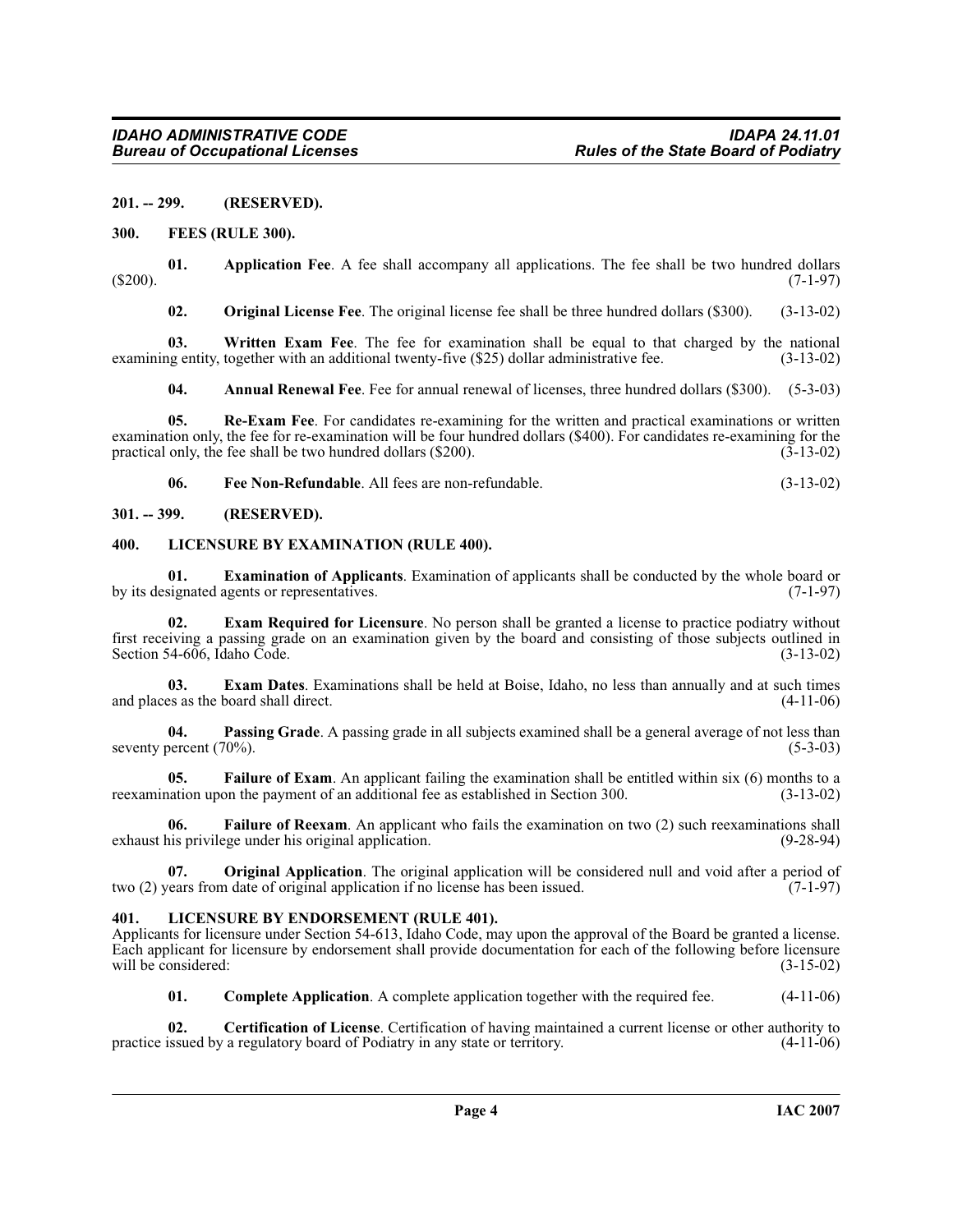#### <span id="page-3-0"></span>**201. -- 299. (RESERVED).**

#### <span id="page-3-15"></span><span id="page-3-1"></span>**300. FEES (RULE 300).**

**01.** Application Fee. A fee shall accompany all applications. The fee shall be two hundred dollars (7-1-97)  $(5200).$  (5200).

<span id="page-3-22"></span><span id="page-3-19"></span><span id="page-3-6"></span>**02. Original License Fee**. The original license fee shall be three hundred dollars (\$300). (3-13-02)

**03.** Written Exam Fee. The fee for examination shall be equal to that charged by the national ig entity, together with an additional twenty-five (\$25) dollar administrative fee. (3-13-02) examining entity, together with an additional twenty-five (\$25) dollar administrative fee.

<span id="page-3-21"></span><span id="page-3-5"></span>**04. Annual Renewal Fee**. Fee for annual renewal of licenses, three hundred dollars (\$300). (5-3-03)

**05. Re-Exam Fee**. For candidates re-examining for the written and practical examinations or written examination only, the fee for re-examination will be four hundred dollars (\$400). For candidates re-examining for the practical only, the fee shall be two hundred dollars (\$200).  $(3-13-02)$ practical only, the fee shall be two hundred dollars (\$200).

<span id="page-3-17"></span><span id="page-3-14"></span><span id="page-3-11"></span>**06. Fee Non-Refundable**. All fees are non-refundable. (3-13-02)

<span id="page-3-2"></span>**301. -- 399. (RESERVED).**

#### <span id="page-3-3"></span>**400. LICENSURE BY EXAMINATION (RULE 400).**

**01. Examination of Applicants**. Examination of applicants shall be conducted by the whole board or signated agents or representatives. (7-1-97) by its designated agents or representatives.

<span id="page-3-10"></span>**Exam Required for Licensure**. No person shall be granted a license to practice podiatry without first receiving a passing grade on an examination given by the board and consisting of those subjects outlined in Section 54-606, Idaho Code.

<span id="page-3-9"></span>**03. Exam Dates**. Examinations shall be held at Boise, Idaho, no less than annually and at such times and places as the board shall direct. (4-11-06)

<span id="page-3-20"></span>**04. Passing Grade**. A passing grade in all subjects examined shall be a general average of not less than percent (70%). seventy percent  $(70\%)$ .

<span id="page-3-12"></span>**05. Failure of Exam**. An applicant failing the examination shall be entitled within six (6) months to a ation upon the payment of an additional fee as established in Section 300. (3-13-02) reexamination upon the payment of an additional fee as established in Section 300.

<span id="page-3-13"></span>**06. Failure of Reexam**. An applicant who fails the examination on two (2) such reexaminations shall exhaust his privilege under his original application. (9-28-94)

<span id="page-3-18"></span>**07. Original Application**. The original application will be considered null and void after a period of ears from date of original application if no license has been issued. (7-1-97) two (2) years from date of original application if no license has been issued.

# <span id="page-3-16"></span><span id="page-3-4"></span>**401. LICENSURE BY ENDORSEMENT (RULE 401).**

Applicants for licensure under Section 54-613, Idaho Code, may upon the approval of the Board be granted a license. Each applicant for licensure by endorsement shall provide documentation for each of the following before licensure will be considered: (3-15-02) will be considered:

<span id="page-3-8"></span><span id="page-3-7"></span>**01. Complete Application**. A complete application together with the required fee. (4-11-06)

**02. Certification of License**. Certification of having maintained a current license or other authority to issued by a regulatory board of Podiatry in any state or territory. (4-11-06) practice issued by a regulatory board of Podiatry in any state or territory.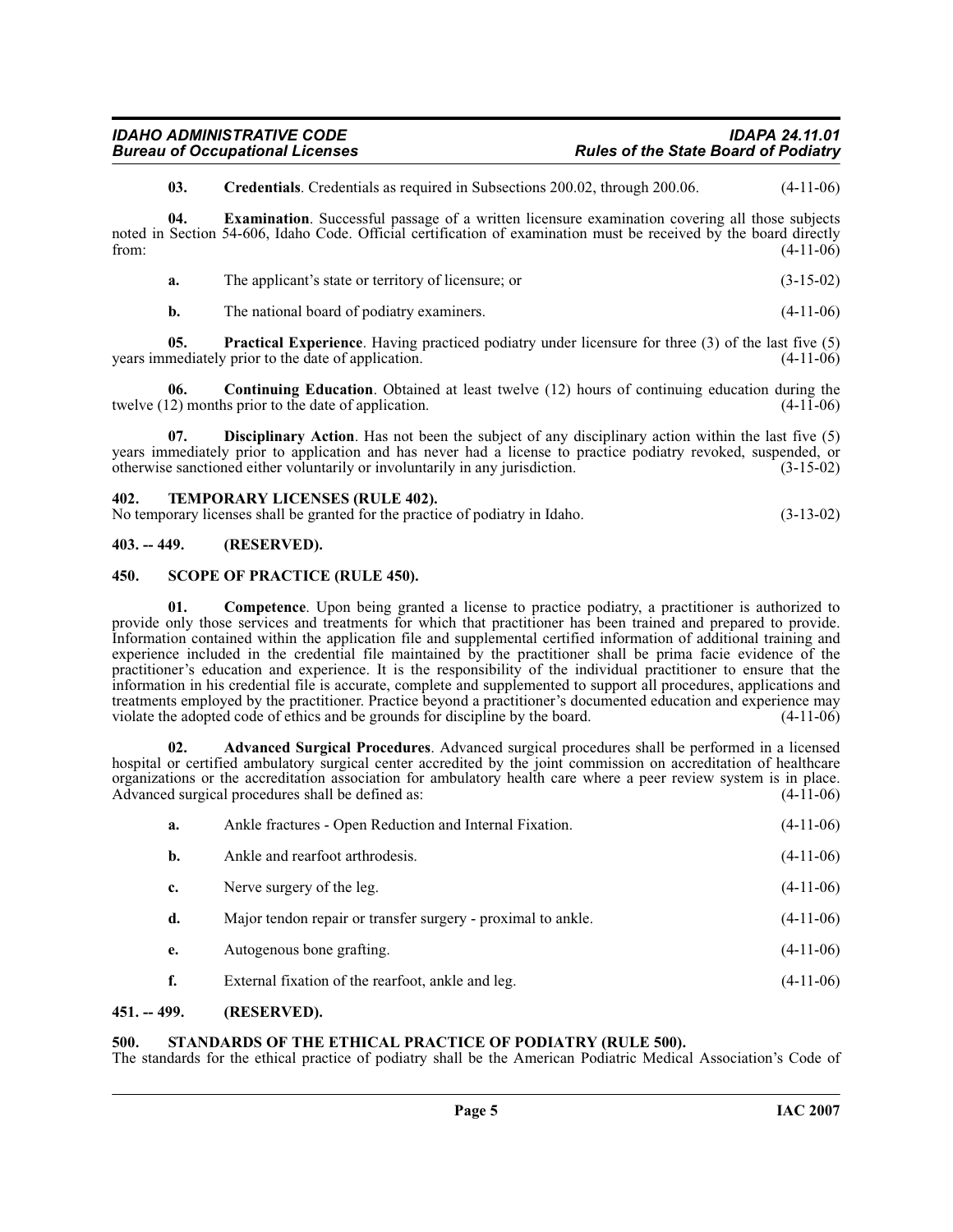<span id="page-4-10"></span><span id="page-4-8"></span>**03. Credentials**. Credentials as required in Subsections 200.02, through 200.06. (4-11-06)

**04. Examination**. Successful passage of a written licensure examination covering all those subjects noted in Section 54-606, Idaho Code. Official certification of examination must be received by the board directly from: (4-11-06) from: (4-11-06)

| a. | The applicant's state or territory of licensure; or | $(3-15-02)$ |
|----|-----------------------------------------------------|-------------|
|----|-----------------------------------------------------|-------------|

<span id="page-4-11"></span><span id="page-4-7"></span>**b.** The national board of podiatry examiners. (4-11-06)

**05. Practical Experience**. Having practiced podiatry under licensure for three (3) of the last five (5) mediately prior to the date of application. (4-11-06) years immediately prior to the date of application.

**06. Continuing Education**. Obtained at least twelve (12) hours of continuing education during the twelve (12) months prior to the date of application. (4-11-06)

<span id="page-4-9"></span>**07. Disciplinary Action**. Has not been the subject of any disciplinary action within the last five (5) years immediately prior to application and has never had a license to practice podiatry revoked, suspended, or otherwise sanctioned either voluntarily or involuntarily in any jurisdiction. (3-15-02)

#### <span id="page-4-14"></span><span id="page-4-0"></span>**402. TEMPORARY LICENSES (RULE 402).**

| No temporary licenses shall be granted for the practice of podiatry in Idaho. | $(3-13-02)$ |
|-------------------------------------------------------------------------------|-------------|
|-------------------------------------------------------------------------------|-------------|

#### <span id="page-4-1"></span>**403. -- 449. (RESERVED).**

#### <span id="page-4-12"></span><span id="page-4-2"></span>**450. SCOPE OF PRACTICE (RULE 450).**

<span id="page-4-6"></span>**01.** Competence. Upon being granted a license to practice podiatry, a practitioner is authorized to provide only those services and treatments for which that practitioner has been trained and prepared to provide. Information contained within the application file and supplemental certified information of additional training and experience included in the credential file maintained by the practitioner shall be prima facie evidence of the practitioner's education and experience. It is the responsibility of the individual practitioner to ensure that the information in his credential file is accurate, complete and supplemented to support all procedures, applications and treatments employed by the practitioner. Practice beyond a practitioner's documented education and experience may<br>violate the adopted code of ethics and be grounds for discipline by the board. (4-11-06) violate the adopted code of ethics and be grounds for discipline by the board.

**02. Advanced Surgical Procedures**. Advanced surgical procedures shall be performed in a licensed hospital or certified ambulatory surgical center accredited by the joint commission on accreditation of healthcare organizations or the accreditation association for ambulatory health care where a peer review system is in place.<br>Advanced surgical procedures shall be defined as: (4-11-06) Advanced surgical procedures shall be defined as:

<span id="page-4-5"></span>

| a. | Ankle fractures - Open Reduction and Internal Fixation.      | $(4-11-06)$ |
|----|--------------------------------------------------------------|-------------|
| b. | Ankle and rearfoot arthrodesis.                              | $(4-11-06)$ |
| c. | Nerve surgery of the leg.                                    | $(4-11-06)$ |
| d. | Major tendon repair or transfer surgery - proximal to ankle. | $(4-11-06)$ |
| e. | Autogenous bone grafting.                                    | $(4-11-06)$ |
|    | External fixation of the rearfoot, ankle and leg.            | $(4-11-06)$ |

#### <span id="page-4-3"></span>**451. -- 499. (RESERVED).**

#### <span id="page-4-13"></span><span id="page-4-4"></span>**500. STANDARDS OF THE ETHICAL PRACTICE OF PODIATRY (RULE 500).**

The standards for the ethical practice of podiatry shall be the American Podiatric Medical Association's Code of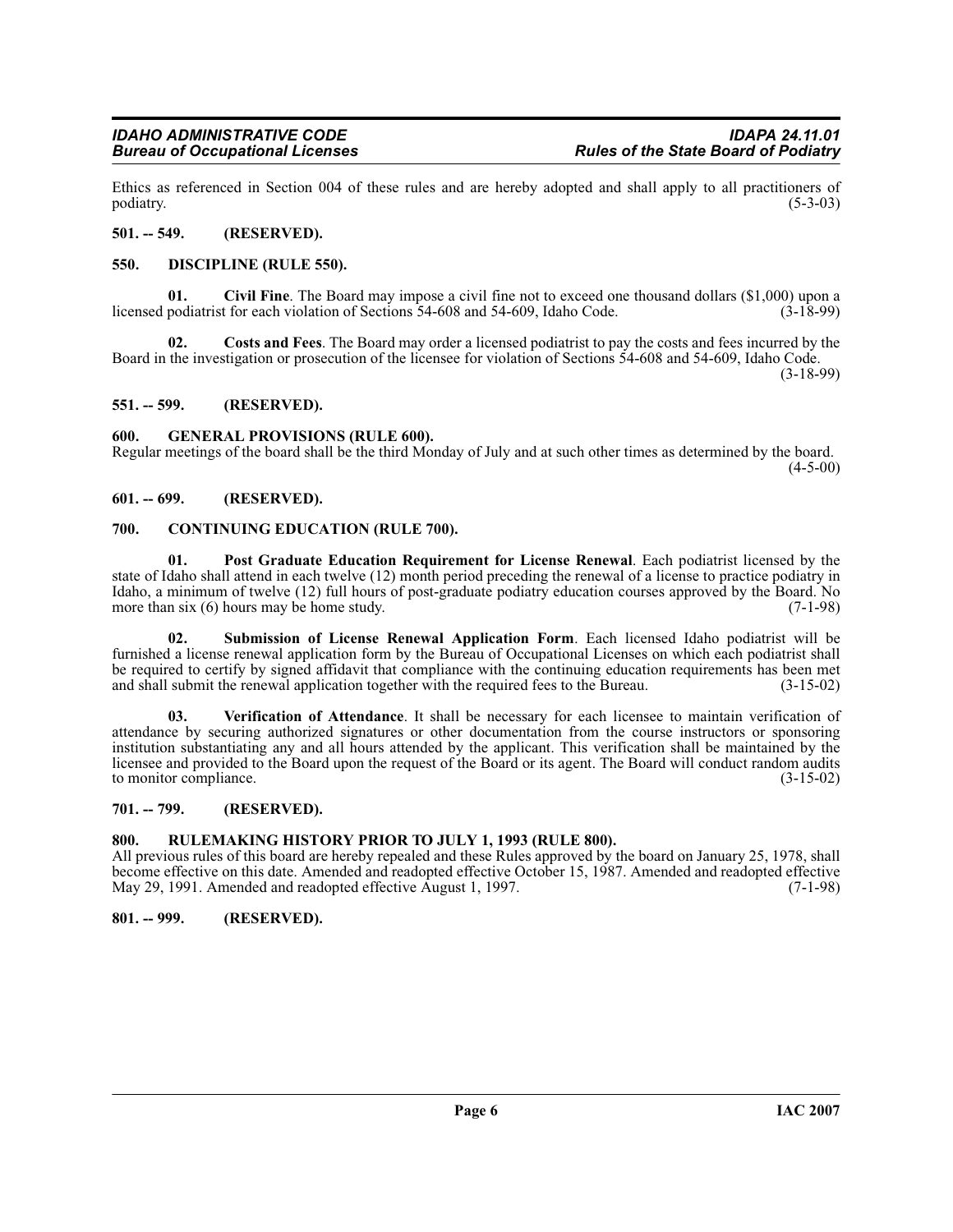Ethics as referenced in Section 004 of these rules and are hereby adopted and shall apply to all practitioners of podiatry. (5-3-03)  $\mu$  podiatry. (5-3-03)

#### <span id="page-5-0"></span>**501. -- 549. (RESERVED).**

### <span id="page-5-12"></span><span id="page-5-1"></span>**550. DISCIPLINE (RULE 550).**

<span id="page-5-9"></span>**Civil Fine**. The Board may impose a civil fine not to exceed one thousand dollars (\$1,000) upon a t for each violation of Sections 54-608 and 54-609, Idaho Code. (3-18-99) licensed podiatrist for each violation of Sections 54-608 and 54-609, Idaho Code.

<span id="page-5-11"></span>**02. Costs and Fees**. The Board may order a licensed podiatrist to pay the costs and fees incurred by the Board in the investigation or prosecution of the licensee for violation of Sections 54-608 and 54-609, Idaho Code. (3-18-99)

<span id="page-5-2"></span>**551. -- 599. (RESERVED).**

#### <span id="page-5-13"></span><span id="page-5-3"></span>**600. GENERAL PROVISIONS (RULE 600).**

Regular meetings of the board shall be the third Monday of July and at such other times as determined by the board.  $(4-5-00)$ 

# <span id="page-5-4"></span>**601. -- 699. (RESERVED).**

#### <span id="page-5-10"></span><span id="page-5-5"></span>**700. CONTINUING EDUCATION (RULE 700).**

<span id="page-5-14"></span>**01. Post Graduate Education Requirement for License Renewal**. Each podiatrist licensed by the state of Idaho shall attend in each twelve (12) month period preceding the renewal of a license to practice podiatry in Idaho, a minimum of twelve (12) full hours of post-graduate podiatry education courses approved by the Board. No<br>more than six (6) hours may be home study. (7-1-98) more than  $s$ ix  $(6)$  hours may be home study.

<span id="page-5-15"></span>**02. Submission of License Renewal Application Form**. Each licensed Idaho podiatrist will be furnished a license renewal application form by the Bureau of Occupational Licenses on which each podiatrist shall be required to certify by signed affidavit that compliance with the continuing education requirements has been met and shall submit the renewal application together with the required fees to the Bureau. (3-15-02)

<span id="page-5-16"></span>**03. Verification of Attendance**. It shall be necessary for each licensee to maintain verification of attendance by securing authorized signatures or other documentation from the course instructors or sponsoring institution substantiating any and all hours attended by the applicant. This verification shall be maintained by the licensee and provided to the Board upon the request of the Board or its agent. The Board will conduct random audits to monitor compliance. (3-15-02)

# <span id="page-5-6"></span>**701. -- 799. (RESERVED).**

# <span id="page-5-7"></span>**800. RULEMAKING HISTORY PRIOR TO JULY 1, 1993 (RULE 800).**

All previous rules of this board are hereby repealed and these Rules approved by the board on January 25, 1978, shall become effective on this date. Amended and readopted effective October 15, 1987. Amended and readopted effective May 29, 1991. Amended and readopted effective August 1, 1997.

# <span id="page-5-8"></span>**801. -- 999. (RESERVED).**